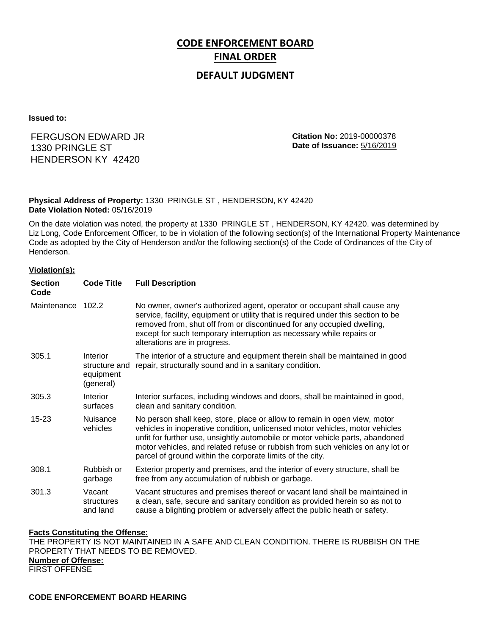# **CODE ENFORCEMENT BOARD FINAL ORDER**

# **DEFAULT JUDGMENT**

**Issued to:**

# FERGUSON EDWARD JR 1330 PRINGLE ST HENDERSON KY 42420

**Citation No:** 2019-00000378 **Date of Issuance:** 5/16/2019

## **Physical Address of Property:** 1330 PRINGLE ST , HENDERSON, KY 42420 **Date Violation Noted:** 05/16/2019

On the date violation was noted, the property at 1330 PRINGLE ST , HENDERSON, KY 42420. was determined by Liz Long, Code Enforcement Officer, to be in violation of the following section(s) of the International Property Maintenance Code as adopted by the City of Henderson and/or the following section(s) of the Code of Ordinances of the City of Henderson.

### **Violation(s):**

| <b>Section</b><br>Code | <b>Code Title</b>                                   | <b>Full Description</b>                                                                                                                                                                                                                                                                                                                                                                   |
|------------------------|-----------------------------------------------------|-------------------------------------------------------------------------------------------------------------------------------------------------------------------------------------------------------------------------------------------------------------------------------------------------------------------------------------------------------------------------------------------|
| Maintenance 102.2      |                                                     | No owner, owner's authorized agent, operator or occupant shall cause any<br>service, facility, equipment or utility that is required under this section to be<br>removed from, shut off from or discontinued for any occupied dwelling,<br>except for such temporary interruption as necessary while repairs or<br>alterations are in progress.                                           |
| 305.1                  | Interior<br>structure and<br>equipment<br>(general) | The interior of a structure and equipment therein shall be maintained in good<br>repair, structurally sound and in a sanitary condition.                                                                                                                                                                                                                                                  |
| 305.3                  | Interior<br>surfaces                                | Interior surfaces, including windows and doors, shall be maintained in good,<br>clean and sanitary condition.                                                                                                                                                                                                                                                                             |
| $15 - 23$              | Nuisance<br>vehicles                                | No person shall keep, store, place or allow to remain in open view, motor<br>vehicles in inoperative condition, unlicensed motor vehicles, motor vehicles<br>unfit for further use, unsightly automobile or motor vehicle parts, abandoned<br>motor vehicles, and related refuse or rubbish from such vehicles on any lot or<br>parcel of ground within the corporate limits of the city. |
| 308.1                  | Rubbish or<br>garbage                               | Exterior property and premises, and the interior of every structure, shall be<br>free from any accumulation of rubbish or garbage.                                                                                                                                                                                                                                                        |
| 301.3                  | Vacant<br>structures<br>and land                    | Vacant structures and premises thereof or vacant land shall be maintained in<br>a clean, safe, secure and sanitary condition as provided herein so as not to<br>cause a blighting problem or adversely affect the public heath or safety.                                                                                                                                                 |

### **Facts Constituting the Offense:**

THE PROPERTY IS NOT MAINTAINED IN A SAFE AND CLEAN CONDITION. THERE IS RUBBISH ON THE PROPERTY THAT NEEDS TO BE REMOVED. **Number of Offense:** FIRST OFFENSE